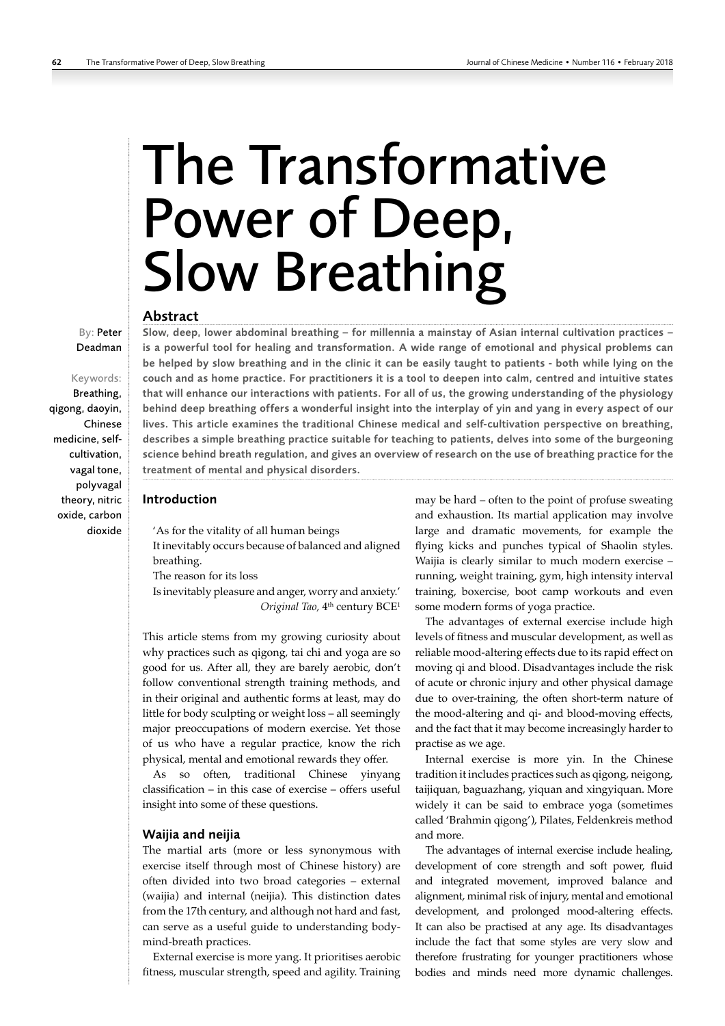# The Transformative Power of Deep, Slow Breathing

# Abstract

Deadman Keywords:

By: Peter

Breathing, qigong, daoyin, Chinese medicine, selfcultivation, vagal tone, polyvagal theory, nitric oxide, carbon dioxide

Slow, deep, lower abdominal breathing – for millennia a mainstay of Asian internal cultivation practices – is a powerful tool for healing and transformation. A wide range of emotional and physical problems can be helped by slow breathing and in the clinic it can be easily taught to patients - both while lying on the couch and as home practice. For practitioners it is a tool to deepen into calm, centred and intuitive states that will enhance our interactions with patients. For all of us, the growing understanding of the physiology behind deep breathing offers a wonderful insight into the interplay of yin and yang in every aspect of our lives. This article examines the traditional Chinese medical and self-cultivation perspective on breathing, describes a simple breathing practice suitable for teaching to patients, delves into some of the burgeoning science behind breath regulation, and gives an overview of research on the use of breathing practice for the treatment of mental and physical disorders.

# Introduction

'As for the vitality of all human beings It inevitably occurs because of balanced and aligned breathing.

The reason for its loss

Is inevitably pleasure and anger, worry and anxiety.' Original Tao, 4<sup>th</sup> century BCE<sup>1</sup>

This article stems from my growing curiosity about why practices such as qigong, tai chi and yoga are so good for us. After all, they are barely aerobic, don't follow conventional strength training methods, and in their original and authentic forms at least, may do little for body sculpting or weight loss – all seemingly major preoccupations of modern exercise. Yet those of us who have a regular practice, know the rich physical, mental and emotional rewards they offer.

As so often, traditional Chinese yinyang classification – in this case of exercise – offers useful insight into some of these questions.

# Waijia and neijia

The martial arts (more or less synonymous with exercise itself through most of Chinese history) are often divided into two broad categories – external (waijia) and internal (neijia). This distinction dates from the 17th century, and although not hard and fast, can serve as a useful guide to understanding bodymind-breath practices.

External exercise is more yang. It prioritises aerobic fitness, muscular strength, speed and agility. Training may be hard – often to the point of profuse sweating and exhaustion. Its martial application may involve large and dramatic movements, for example the flying kicks and punches typical of Shaolin styles. Waijia is clearly similar to much modern exercise – running, weight training, gym, high intensity interval training, boxercise, boot camp workouts and even some modern forms of yoga practice.

The advantages of external exercise include high levels of fitness and muscular development, as well as reliable mood-altering effects due to its rapid effect on moving qi and blood. Disadvantages include the risk of acute or chronic injury and other physical damage due to over-training, the often short-term nature of the mood-altering and qi- and blood-moving effects, and the fact that it may become increasingly harder to practise as we age.

Internal exercise is more yin. In the Chinese tradition it includes practices such as qigong, neigong, taijiquan, baguazhang, yiquan and xingyiquan. More widely it can be said to embrace yoga (sometimes called 'Brahmin qigong'), Pilates, Feldenkreis method and more.

The advantages of internal exercise include healing, development of core strength and soft power, fluid and integrated movement, improved balance and alignment, minimal risk of injury, mental and emotional development, and prolonged mood-altering effects. It can also be practised at any age. Its disadvantages include the fact that some styles are very slow and therefore frustrating for younger practitioners whose bodies and minds need more dynamic challenges.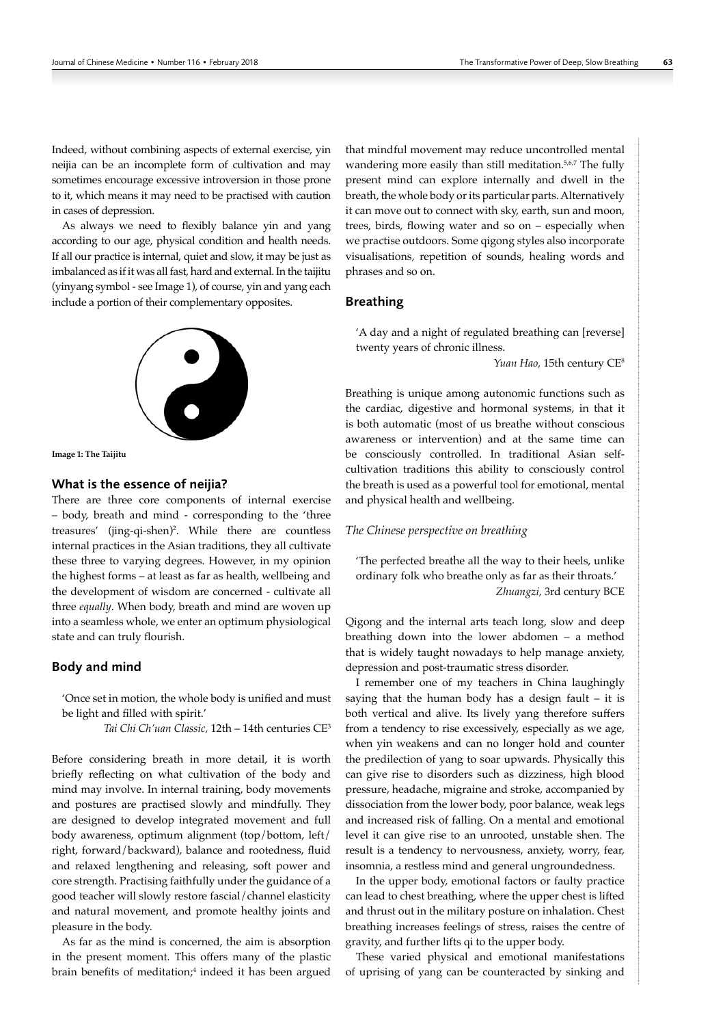Indeed, without combining aspects of external exercise, yin neijia can be an incomplete form of cultivation and may sometimes encourage excessive introversion in those prone to it, which means it may need to be practised with caution in cases of depression.

As always we need to flexibly balance yin and yang according to our age, physical condition and health needs. If all our practice is internal, quiet and slow, it may be just as imbalanced as if it was all fast, hard and external. In the taijitu (yinyang symbol - see Image 1), of course, yin and yang each include a portion of their complementary opposites.



**Image 1: The Taijitu**

## What is the essence of neijia?

There are three core components of internal exercise – body, breath and mind - corresponding to the 'three treasures' (jing-qi-shen)<sup>2</sup>. While there are countless internal practices in the Asian traditions, they all cultivate these three to varying degrees. However, in my opinion the highest forms – at least as far as health, wellbeing and the development of wisdom are concerned - cultivate all three *equally*. When body, breath and mind are woven up into a seamless whole, we enter an optimum physiological state and can truly flourish.

## Body and mind

'Once set in motion, the whole body is unified and must be light and filled with spirit.'

*Tai Chi Ch'uan Classic,* 12th – 14th centuries CE3

Before considering breath in more detail, it is worth briefly reflecting on what cultivation of the body and mind may involve. In internal training, body movements and postures are practised slowly and mindfully. They are designed to develop integrated movement and full body awareness, optimum alignment (top/bottom, left/ right, forward/backward), balance and rootedness, fluid and relaxed lengthening and releasing, soft power and core strength. Practising faithfully under the guidance of a good teacher will slowly restore fascial/channel elasticity and natural movement, and promote healthy joints and pleasure in the body.

As far as the mind is concerned, the aim is absorption in the present moment. This offers many of the plastic brain benefits of meditation;<sup>4</sup> indeed it has been argued that mindful movement may reduce uncontrolled mental wandering more easily than still meditation.<sup>5,6,7</sup> The fully present mind can explore internally and dwell in the breath, the whole body or its particular parts. Alternatively it can move out to connect with sky, earth, sun and moon, trees, birds, flowing water and so on – especially when we practise outdoors. Some qigong styles also incorporate visualisations, repetition of sounds, healing words and phrases and so on.

# Breathing

'A day and a night of regulated breathing can [reverse] twenty years of chronic illness.

*Yuan Hao,* 15th century CE8

Breathing is unique among autonomic functions such as the cardiac, digestive and hormonal systems, in that it is both automatic (most of us breathe without conscious awareness or intervention) and at the same time can be consciously controlled. In traditional Asian selfcultivation traditions this ability to consciously control the breath is used as a powerful tool for emotional, mental and physical health and wellbeing.

#### *The Chinese perspective on breathing*

'The perfected breathe all the way to their heels, unlike ordinary folk who breathe only as far as their throats.' *Zhuangzi,* 3rd century BCE

Qigong and the internal arts teach long, slow and deep breathing down into the lower abdomen – a method that is widely taught nowadays to help manage anxiety, depression and post-traumatic stress disorder.

I remember one of my teachers in China laughingly saying that the human body has a design fault – it is both vertical and alive. Its lively yang therefore suffers from a tendency to rise excessively, especially as we age, when yin weakens and can no longer hold and counter the predilection of yang to soar upwards. Physically this can give rise to disorders such as dizziness, high blood pressure, headache, migraine and stroke, accompanied by dissociation from the lower body, poor balance, weak legs and increased risk of falling. On a mental and emotional level it can give rise to an unrooted, unstable shen. The result is a tendency to nervousness, anxiety, worry, fear, insomnia, a restless mind and general ungroundedness.

In the upper body, emotional factors or faulty practice can lead to chest breathing, where the upper chest is lifted and thrust out in the military posture on inhalation. Chest breathing increases feelings of stress, raises the centre of gravity, and further lifts qi to the upper body.

These varied physical and emotional manifestations of uprising of yang can be counteracted by sinking and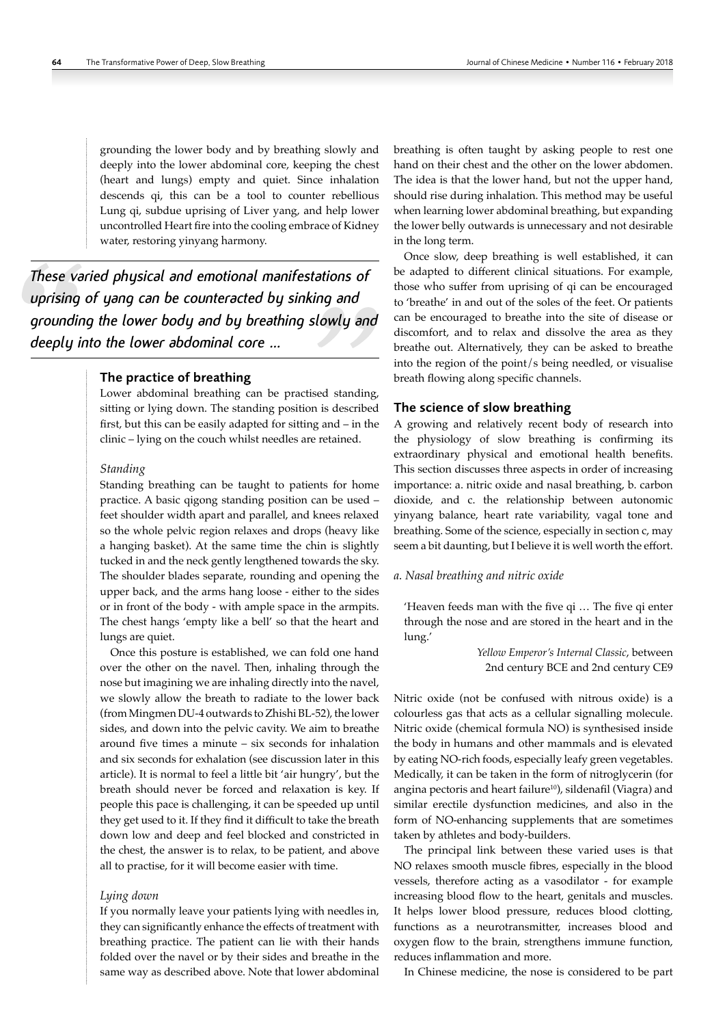grounding the lower body and by breathing slowly and deeply into the lower abdominal core, keeping the chest (heart and lungs) empty and quiet. Since inhalation descends qi, this can be a tool to counter rebellious Lung qi, subdue uprising of Liver yang, and help lower uncontrolled Heart fire into the cooling embrace of Kidney water, restoring yinyang harmony.

*These varied physical and emotional manifestations of uprising of yang can be counteracted by sinking and grounding the lower body and by breathing slowly and deeply into the lower abdominal core …*

# The practice of breathing

Lower abdominal breathing can be practised standing, sitting or lying down. The standing position is described first, but this can be easily adapted for sitting and – in the clinic – lying on the couch whilst needles are retained.

#### *Standing*

Standing breathing can be taught to patients for home practice. A basic qigong standing position can be used – feet shoulder width apart and parallel, and knees relaxed so the whole pelvic region relaxes and drops (heavy like a hanging basket). At the same time the chin is slightly tucked in and the neck gently lengthened towards the sky. The shoulder blades separate, rounding and opening the upper back, and the arms hang loose - either to the sides or in front of the body - with ample space in the armpits. The chest hangs 'empty like a bell' so that the heart and lungs are quiet.

Once this posture is established, we can fold one hand over the other on the navel. Then, inhaling through the nose but imagining we are inhaling directly into the navel, we slowly allow the breath to radiate to the lower back (from Mingmen DU-4 outwards to Zhishi BL-52), the lower sides, and down into the pelvic cavity. We aim to breathe around five times a minute – six seconds for inhalation and six seconds for exhalation (see discussion later in this article). It is normal to feel a little bit 'air hungry', but the breath should never be forced and relaxation is key. If people this pace is challenging, it can be speeded up until they get used to it. If they find it difficult to take the breath down low and deep and feel blocked and constricted in the chest, the answer is to relax, to be patient, and above all to practise, for it will become easier with time.

## *Lying down*

If you normally leave your patients lying with needles in, they can significantly enhance the effects of treatment with breathing practice. The patient can lie with their hands folded over the navel or by their sides and breathe in the same way as described above. Note that lower abdominal

breathing is often taught by asking people to rest one hand on their chest and the other on the lower abdomen. The idea is that the lower hand, but not the upper hand, should rise during inhalation. This method may be useful when learning lower abdominal breathing, but expanding the lower belly outwards is unnecessary and not desirable in the long term.

Once slow, deep breathing is well established, it can be adapted to different clinical situations. For example, those who suffer from uprising of qi can be encouraged to 'breathe' in and out of the soles of the feet. Or patients can be encouraged to breathe into the site of disease or discomfort, and to relax and dissolve the area as they breathe out. Alternatively, they can be asked to breathe into the region of the point/s being needled, or visualise breath flowing along specific channels.

# The science of slow breathing

A growing and relatively recent body of research into the physiology of slow breathing is confirming its extraordinary physical and emotional health benefits. This section discusses three aspects in order of increasing importance: a. nitric oxide and nasal breathing, b. carbon dioxide, and c. the relationship between autonomic yinyang balance, heart rate variability, vagal tone and breathing. Some of the science, especially in section c, may seem a bit daunting, but I believe it is well worth the effort.

#### *a. Nasal breathing and nitric oxide*

'Heaven feeds man with the five qi … The five qi enter through the nose and are stored in the heart and in the lung.'

> *Yellow Emperor's Internal Classic*, between 2nd century BCE and 2nd century CE9

Nitric oxide (not be confused with nitrous oxide) is a colourless gas that acts as a cellular signalling molecule. Nitric oxide (chemical formula NO) is synthesised inside the body in humans and other mammals and is elevated by eating NO-rich foods, especially leafy green vegetables. Medically, it can be taken in the form of nitroglycerin (for angina pectoris and heart failure<sup>10</sup>), sildenafil (Viagra) and similar erectile dysfunction medicines, and also in the form of NO-enhancing supplements that are sometimes taken by athletes and body-builders.

The principal link between these varied uses is that NO relaxes smooth muscle fibres, especially in the blood vessels, therefore acting as a vasodilator - for example increasing blood flow to the heart, genitals and muscles. It helps lower blood pressure, reduces blood clotting, functions as a neurotransmitter, increases blood and oxygen flow to the brain, strengthens immune function, reduces inflammation and more.

In Chinese medicine, the nose is considered to be part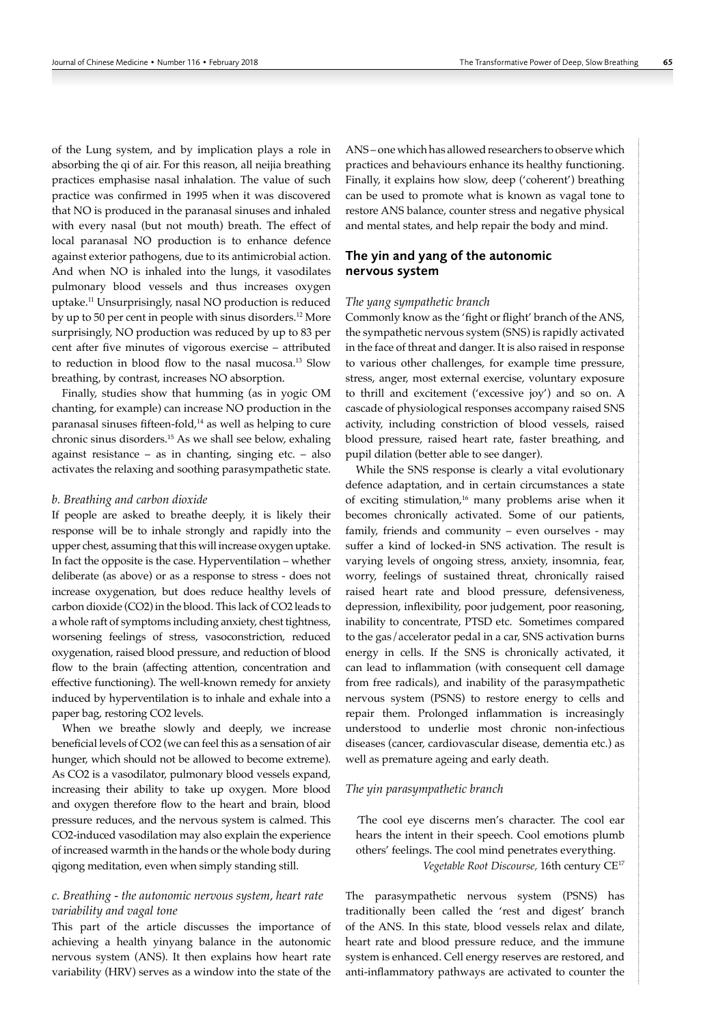of the Lung system, and by implication plays a role in absorbing the qi of air. For this reason, all neijia breathing practices emphasise nasal inhalation. The value of such practice was confirmed in 1995 when it was discovered that NO is produced in the paranasal sinuses and inhaled with every nasal (but not mouth) breath. The effect of local paranasal NO production is to enhance defence against exterior pathogens, due to its antimicrobial action. And when NO is inhaled into the lungs, it vasodilates pulmonary blood vessels and thus increases oxygen uptake.11 Unsurprisingly, nasal NO production is reduced by up to 50 per cent in people with sinus disorders.12 More surprisingly, NO production was reduced by up to 83 per cent after five minutes of vigorous exercise – attributed to reduction in blood flow to the nasal mucosa.<sup>13</sup> Slow breathing, by contrast, increases NO absorption.

Finally, studies show that humming (as in yogic OM chanting, for example) can increase NO production in the paranasal sinuses fifteen-fold,<sup>14</sup> as well as helping to cure chronic sinus disorders.15 As we shall see below, exhaling against resistance – as in chanting, singing etc. – also activates the relaxing and soothing parasympathetic state.

## *b. Breathing and carbon dioxide*

If people are asked to breathe deeply, it is likely their response will be to inhale strongly and rapidly into the upper chest, assuming that this will increase oxygen uptake. In fact the opposite is the case. Hyperventilation – whether deliberate (as above) or as a response to stress - does not increase oxygenation, but does reduce healthy levels of carbon dioxide (CO2) in the blood. This lack of CO2 leads to a whole raft of symptoms including anxiety, chest tightness, worsening feelings of stress, vasoconstriction, reduced oxygenation, raised blood pressure, and reduction of blood flow to the brain (affecting attention, concentration and effective functioning). The well-known remedy for anxiety induced by hyperventilation is to inhale and exhale into a paper bag, restoring CO2 levels.

When we breathe slowly and deeply, we increase beneficial levels of CO2 (we can feel this as a sensation of air hunger, which should not be allowed to become extreme). As CO2 is a vasodilator, pulmonary blood vessels expand, increasing their ability to take up oxygen. More blood and oxygen therefore flow to the heart and brain, blood pressure reduces, and the nervous system is calmed. This CO2-induced vasodilation may also explain the experience of increased warmth in the hands or the whole body during qigong meditation, even when simply standing still.

# *c. Breathing - the autonomic nervous system, heart rate variability and vagal tone*

This part of the article discusses the importance of achieving a health yinyang balance in the autonomic nervous system (ANS). It then explains how heart rate variability (HRV) serves as a window into the state of the

ANS – one which has allowed researchers to observe which practices and behaviours enhance its healthy functioning. Finally, it explains how slow, deep ('coherent') breathing can be used to promote what is known as vagal tone to restore ANS balance, counter stress and negative physical and mental states, and help repair the body and mind.

# The yin and yang of the autonomic nervous system

#### *The yang sympathetic branch*

Commonly know as the 'fight or flight' branch of the ANS, the sympathetic nervous system (SNS) is rapidly activated in the face of threat and danger. It is also raised in response to various other challenges, for example time pressure, stress, anger, most external exercise, voluntary exposure to thrill and excitement ('excessive joy') and so on. A cascade of physiological responses accompany raised SNS activity, including constriction of blood vessels, raised blood pressure, raised heart rate, faster breathing, and pupil dilation (better able to see danger).

While the SNS response is clearly a vital evolutionary defence adaptation, and in certain circumstances a state of exciting stimulation, $16$  many problems arise when it becomes chronically activated. Some of our patients, family, friends and community – even ourselves - may suffer a kind of locked-in SNS activation. The result is varying levels of ongoing stress, anxiety, insomnia, fear, worry, feelings of sustained threat, chronically raised raised heart rate and blood pressure, defensiveness, depression, inflexibility, poor judgement, poor reasoning, inability to concentrate, PTSD etc. Sometimes compared to the gas/accelerator pedal in a car, SNS activation burns energy in cells. If the SNS is chronically activated, it can lead to inflammation (with consequent cell damage from free radicals), and inability of the parasympathetic nervous system (PSNS) to restore energy to cells and repair them. Prolonged inflammation is increasingly understood to underlie most chronic non-infectious diseases (cancer, cardiovascular disease, dementia etc.) as well as premature ageing and early death.

#### *The yin parasympathetic branch*

*'*The cool eye discerns men's character. The cool ear hears the intent in their speech. Cool emotions plumb others' feelings. The cool mind penetrates everything. *Vegetable Root Discourse,* 16th century CE17

The parasympathetic nervous system (PSNS) has traditionally been called the 'rest and digest' branch of the ANS. In this state, blood vessels relax and dilate, heart rate and blood pressure reduce, and the immune system is enhanced. Cell energy reserves are restored, and anti-inflammatory pathways are activated to counter the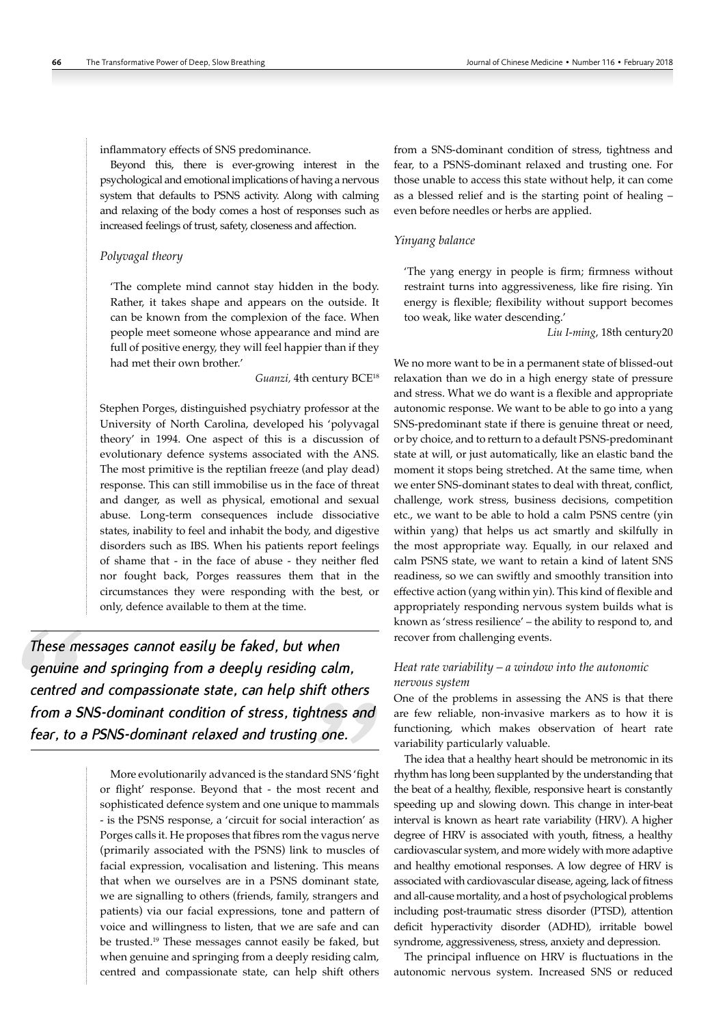inflammatory effects of SNS predominance.

Beyond this, there is ever-growing interest in the psychological and emotional implications of having a nervous system that defaults to PSNS activity. Along with calming and relaxing of the body comes a host of responses such as increased feelings of trust, safety, closeness and affection.

## *Polyvagal theory*

'The complete mind cannot stay hidden in the body. Rather, it takes shape and appears on the outside. It can be known from the complexion of the face. When people meet someone whose appearance and mind are full of positive energy, they will feel happier than if they had met their own brother.'

# Guanzi, 4th century BCE<sup>18</sup>

Stephen Porges, distinguished psychiatry professor at the University of North Carolina, developed his 'polyvagal theory' in 1994. One aspect of this is a discussion of evolutionary defence systems associated with the ANS. The most primitive is the reptilian freeze (and play dead) response. This can still immobilise us in the face of threat and danger, as well as physical, emotional and sexual abuse. Long-term consequences include dissociative states, inability to feel and inhabit the body, and digestive disorders such as IBS. When his patients report feelings of shame that - in the face of abuse - they neither fled nor fought back, Porges reassures them that in the circumstances they were responding with the best, or only, defence available to them at the time.

*These messages cannot easily be faked, but when genuine and springing from a deeply residing calm, centred and compassionate state, can help shift others from a SNS-dominant condition of stress, tightness and fear, to a PSNS-dominant relaxed and trusting one.*

> More evolutionarily advanced is the standard SNS 'fight or flight' response. Beyond that - the most recent and sophisticated defence system and one unique to mammals - is the PSNS response, a 'circuit for social interaction' as Porges calls it. He proposes that fibres rom the vagus nerve (primarily associated with the PSNS) link to muscles of facial expression, vocalisation and listening. This means that when we ourselves are in a PSNS dominant state, we are signalling to others (friends, family, strangers and patients) via our facial expressions, tone and pattern of voice and willingness to listen, that we are safe and can be trusted.19 These messages cannot easily be faked, but when genuine and springing from a deeply residing calm, centred and compassionate state, can help shift others

from a SNS-dominant condition of stress, tightness and fear, to a PSNS-dominant relaxed and trusting one. For those unable to access this state without help, it can come as a blessed relief and is the starting point of healing – even before needles or herbs are applied.

#### *Yinyang balance*

'The yang energy in people is firm; firmness without restraint turns into aggressiveness, like fire rising. Yin energy is flexible; flexibility without support becomes too weak, like water descending.'

*Liu I-ming*, 18th century20

We no more want to be in a permanent state of blissed-out relaxation than we do in a high energy state of pressure and stress. What we do want is a flexible and appropriate autonomic response. We want to be able to go into a yang SNS-predominant state if there is genuine threat or need, or by choice, and to retturn to a default PSNS-predominant state at will, or just automatically, like an elastic band the moment it stops being stretched. At the same time, when we enter SNS-dominant states to deal with threat, conflict, challenge, work stress, business decisions, competition etc., we want to be able to hold a calm PSNS centre (yin within yang) that helps us act smartly and skilfully in the most appropriate way. Equally, in our relaxed and calm PSNS state, we want to retain a kind of latent SNS readiness, so we can swiftly and smoothly transition into effective action (yang within yin). This kind of flexible and appropriately responding nervous system builds what is known as 'stress resilience' – the ability to respond to, and recover from challenging events.

# *Heat rate variability – a window into the autonomic nervous system*

One of the problems in assessing the ANS is that there are few reliable, non-invasive markers as to how it is functioning, which makes observation of heart rate variability particularly valuable.

The idea that a healthy heart should be metronomic in its rhythm has long been supplanted by the understanding that the beat of a healthy, flexible, responsive heart is constantly speeding up and slowing down. This change in inter-beat interval is known as heart rate variability (HRV). A higher degree of HRV is associated with youth, fitness, a healthy cardiovascular system, and more widely with more adaptive and healthy emotional responses. A low degree of HRV is associated with cardiovascular disease, ageing, lack of fitness and all-cause mortality, and a host of psychological problems including post-traumatic stress disorder (PTSD), attention deficit hyperactivity disorder (ADHD), irritable bowel syndrome, aggressiveness, stress, anxiety and depression.

The principal influence on HRV is fluctuations in the autonomic nervous system. Increased SNS or reduced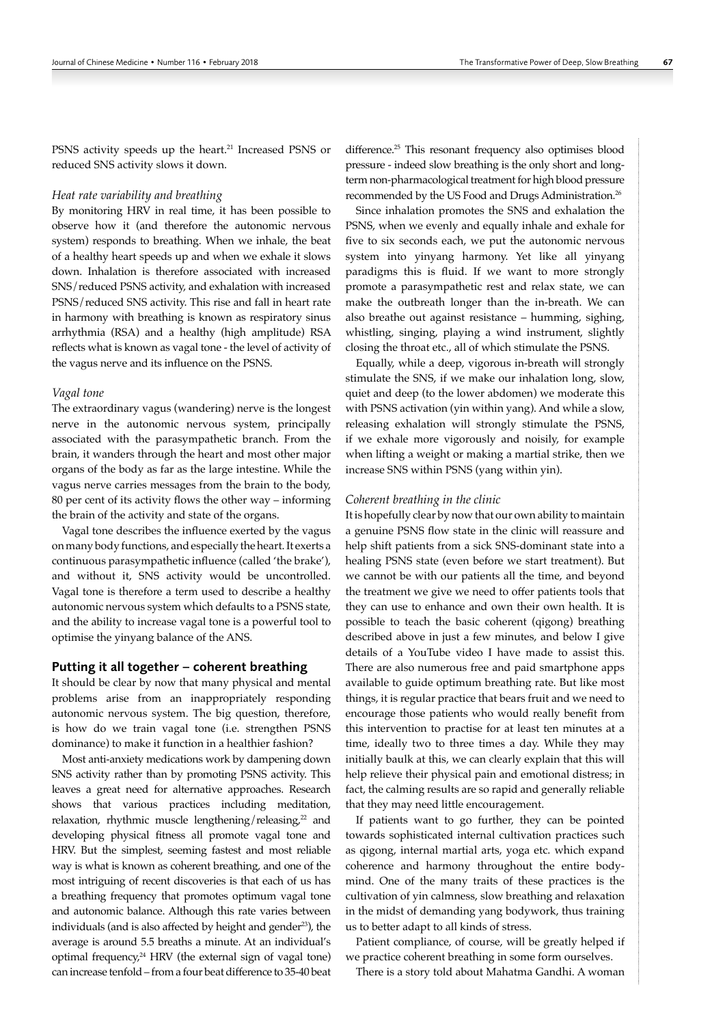PSNS activity speeds up the heart.<sup>21</sup> Increased PSNS or reduced SNS activity slows it down.

## *Heat rate variability and breathing*

By monitoring HRV in real time, it has been possible to observe how it (and therefore the autonomic nervous system) responds to breathing. When we inhale, the beat of a healthy heart speeds up and when we exhale it slows down. Inhalation is therefore associated with increased SNS/reduced PSNS activity, and exhalation with increased PSNS/reduced SNS activity. This rise and fall in heart rate in harmony with breathing is known as respiratory sinus arrhythmia (RSA) and a healthy (high amplitude) RSA reflects what is known as vagal tone - the level of activity of the vagus nerve and its influence on the PSNS.

#### *Vagal tone*

The extraordinary vagus (wandering) nerve is the longest nerve in the autonomic nervous system, principally associated with the parasympathetic branch. From the brain, it wanders through the heart and most other major organs of the body as far as the large intestine. While the vagus nerve carries messages from the brain to the body, 80 per cent of its activity flows the other way – informing the brain of the activity and state of the organs.

Vagal tone describes the influence exerted by the vagus on many body functions, and especially the heart. It exerts a continuous parasympathetic influence (called 'the brake'), and without it, SNS activity would be uncontrolled. Vagal tone is therefore a term used to describe a healthy autonomic nervous system which defaults to a PSNS state, and the ability to increase vagal tone is a powerful tool to optimise the yinyang balance of the ANS.

## Putting it all together – coherent breathing

It should be clear by now that many physical and mental problems arise from an inappropriately responding autonomic nervous system. The big question, therefore, is how do we train vagal tone (i.e. strengthen PSNS dominance) to make it function in a healthier fashion?

Most anti-anxiety medications work by dampening down SNS activity rather than by promoting PSNS activity. This leaves a great need for alternative approaches. Research shows that various practices including meditation, relaxation, rhythmic muscle lengthening/releasing,<sup>22</sup> and developing physical fitness all promote vagal tone and HRV. But the simplest, seeming fastest and most reliable way is what is known as coherent breathing, and one of the most intriguing of recent discoveries is that each of us has a breathing frequency that promotes optimum vagal tone and autonomic balance. Although this rate varies between individuals (and is also affected by height and gender<sup>23</sup>), the average is around 5.5 breaths a minute. At an individual's optimal frequency, $24$  HRV (the external sign of vagal tone) can increase tenfold – from a four beat difference to 35-40 beat

difference.25 This resonant frequency also optimises blood pressure - indeed slow breathing is the only short and longterm non-pharmacological treatment for high blood pressure recommended by the US Food and Drugs Administration.<sup>26</sup>

Since inhalation promotes the SNS and exhalation the PSNS, when we evenly and equally inhale and exhale for five to six seconds each, we put the autonomic nervous system into yinyang harmony. Yet like all yinyang paradigms this is fluid. If we want to more strongly promote a parasympathetic rest and relax state, we can make the outbreath longer than the in-breath. We can also breathe out against resistance – humming, sighing, whistling, singing, playing a wind instrument, slightly closing the throat etc., all of which stimulate the PSNS.

Equally, while a deep, vigorous in-breath will strongly stimulate the SNS, if we make our inhalation long, slow, quiet and deep (to the lower abdomen) we moderate this with PSNS activation (yin within yang). And while a slow, releasing exhalation will strongly stimulate the PSNS, if we exhale more vigorously and noisily, for example when lifting a weight or making a martial strike, then we increase SNS within PSNS (yang within yin).

# *Coherent breathing in the clinic*

It is hopefully clear by now that our own ability to maintain a genuine PSNS flow state in the clinic will reassure and help shift patients from a sick SNS-dominant state into a healing PSNS state (even before we start treatment). But we cannot be with our patients all the time, and beyond the treatment we give we need to offer patients tools that they can use to enhance and own their own health. It is possible to teach the basic coherent (qigong) breathing described above in just a few minutes, and below I give details of a YouTube video I have made to assist this. There are also numerous free and paid smartphone apps available to guide optimum breathing rate. But like most things, it is regular practice that bears fruit and we need to encourage those patients who would really benefit from this intervention to practise for at least ten minutes at a time, ideally two to three times a day. While they may initially baulk at this, we can clearly explain that this will help relieve their physical pain and emotional distress; in fact, the calming results are so rapid and generally reliable that they may need little encouragement.

If patients want to go further, they can be pointed towards sophisticated internal cultivation practices such as qigong, internal martial arts, yoga etc. which expand coherence and harmony throughout the entire bodymind. One of the many traits of these practices is the cultivation of yin calmness, slow breathing and relaxation in the midst of demanding yang bodywork, thus training us to better adapt to all kinds of stress.

Patient compliance, of course, will be greatly helped if we practice coherent breathing in some form ourselves.

There is a story told about Mahatma Gandhi. A woman